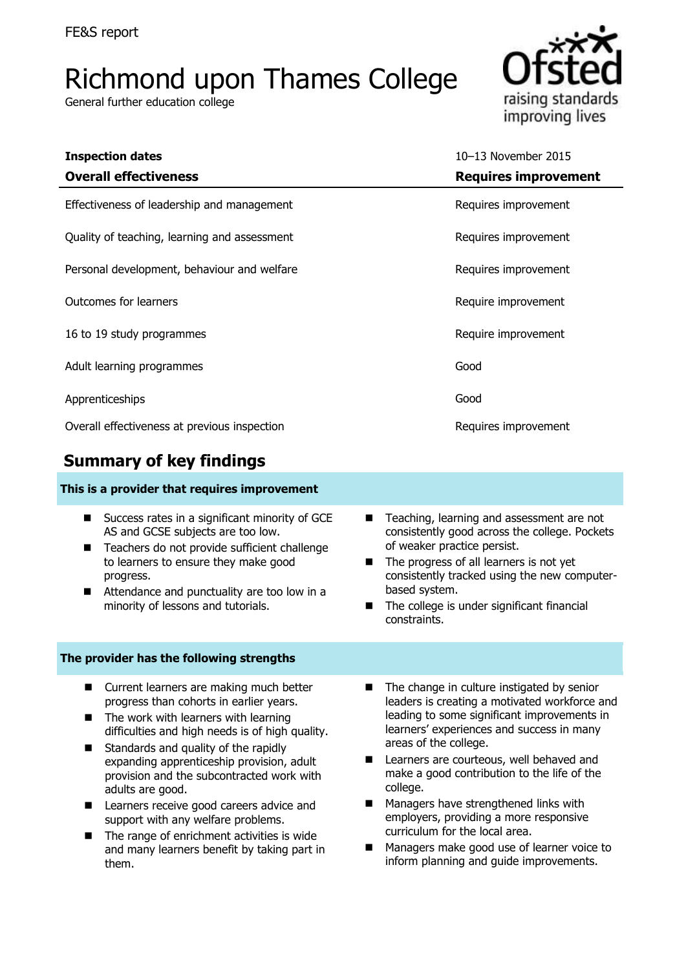# Richmond upon Thames College

General further education college



| <b>Inspection dates</b><br><b>Overall effectiveness</b> | 10-13 November 2015<br><b>Requires improvement</b> |
|---------------------------------------------------------|----------------------------------------------------|
| Effectiveness of leadership and management              | Requires improvement                               |
| Quality of teaching, learning and assessment            | Requires improvement                               |
| Personal development, behaviour and welfare             | Requires improvement                               |
| <b>Outcomes for learners</b>                            | Require improvement                                |
| 16 to 19 study programmes                               | Require improvement                                |
| Adult learning programmes                               | Good                                               |
| Apprenticeships                                         | Good                                               |
| Overall effectiveness at previous inspection            | Requires improvement                               |

# **Summary of key findings**

### **This is a provider that requires improvement**

- Success rates in a significant minority of GCE AS and GCSE subjects are too low.
- Teachers do not provide sufficient challenge to learners to ensure they make good progress.
- Attendance and punctuality are too low in a minority of lessons and tutorials.

### **The provider has the following strengths**

- **E** Current learners are making much better progress than cohorts in earlier years.
- $\blacksquare$  The work with learners with learning difficulties and high needs is of high quality.
- Standards and quality of the rapidly expanding apprenticeship provision, adult provision and the subcontracted work with adults are good.
- **Learners receive good careers advice and** support with any welfare problems.
- $\blacksquare$  The range of enrichment activities is wide and many learners benefit by taking part in them.
- Teaching, learning and assessment are not consistently good across the college. Pockets of weaker practice persist.
- The progress of all learners is not yet consistently tracked using the new computerbased system.
- The college is under significant financial constraints.
- The change in culture instigated by senior leaders is creating a motivated workforce and leading to some significant improvements in learners' experiences and success in many areas of the college.
- Learners are courteous, well behaved and make a good contribution to the life of the college.
- **Managers have strengthened links with** employers, providing a more responsive curriculum for the local area.
- **Managers make good use of learner voice to** inform planning and guide improvements.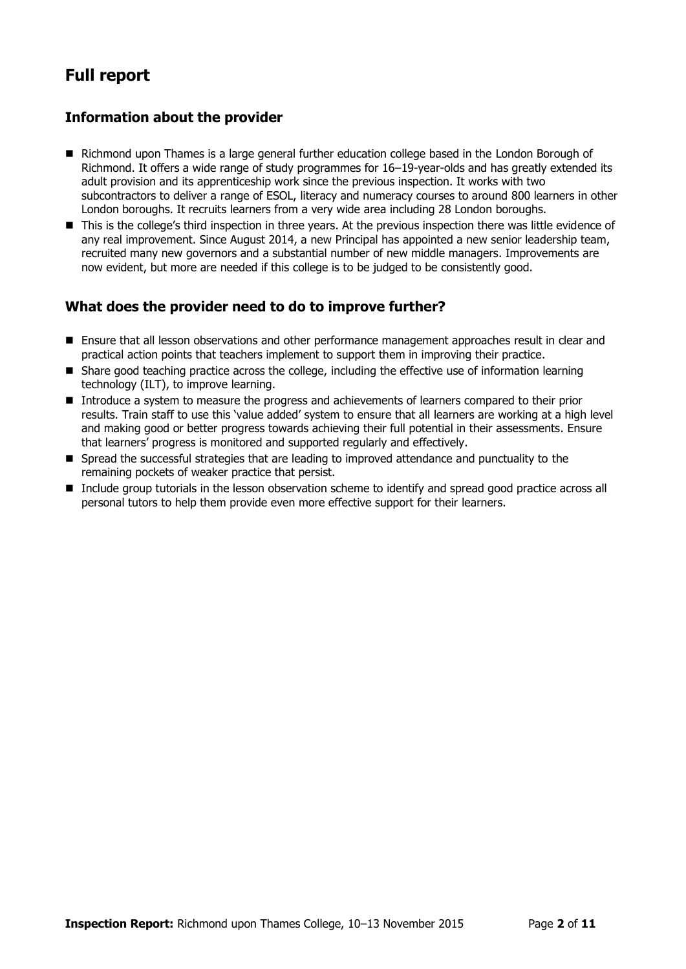# **Full report**

### **Information about the provider**

- Richmond upon Thames is a large general further education college based in the London Borough of Richmond. It offers a wide range of study programmes for 16–19-year-olds and has greatly extended its adult provision and its apprenticeship work since the previous inspection. It works with two subcontractors to deliver a range of ESOL, literacy and numeracy courses to around 800 learners in other London boroughs. It recruits learners from a very wide area including 28 London boroughs.
- This is the college's third inspection in three years. At the previous inspection there was little evidence of any real improvement. Since August 2014, a new Principal has appointed a new senior leadership team, recruited many new governors and a substantial number of new middle managers. Improvements are now evident, but more are needed if this college is to be judged to be consistently good.

### **What does the provider need to do to improve further?**

- **E** Ensure that all lesson observations and other performance management approaches result in clear and practical action points that teachers implement to support them in improving their practice.
- Share good teaching practice across the college, including the effective use of information learning technology (ILT), to improve learning.
- Introduce a system to measure the progress and achievements of learners compared to their prior results. Train staff to use this 'value added' system to ensure that all learners are working at a high level and making good or better progress towards achieving their full potential in their assessments. Ensure that learners' progress is monitored and supported regularly and effectively.
- Spread the successful strategies that are leading to improved attendance and punctuality to the remaining pockets of weaker practice that persist.
- Include aroup tutorials in the lesson observation scheme to identify and spread good practice across all personal tutors to help them provide even more effective support for their learners.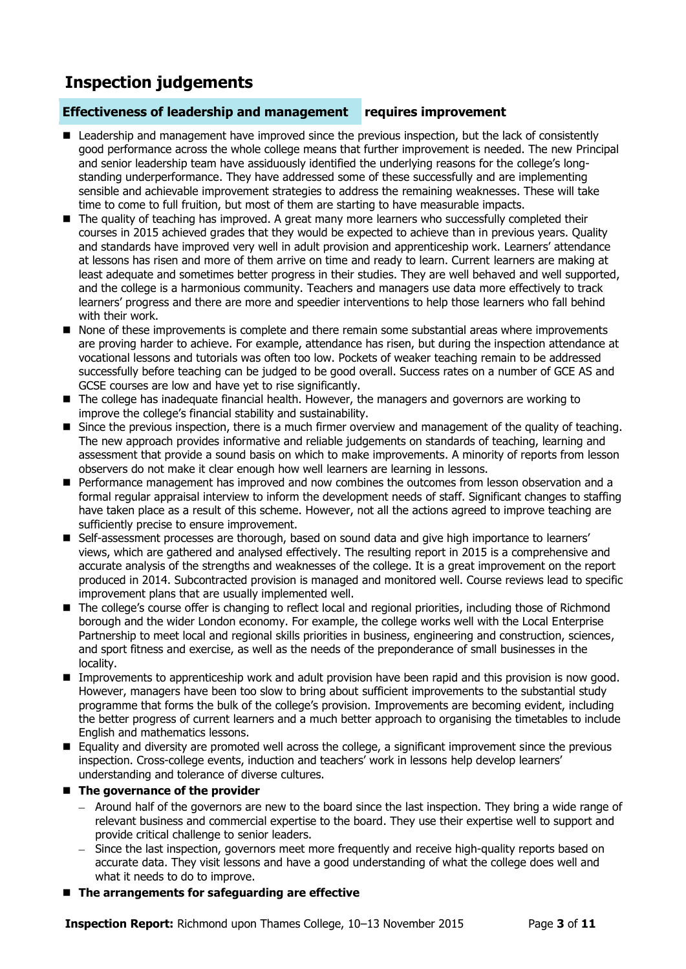# **Inspection judgements**

### **Effectiveness of leadership and management requires improvement**

- Leadership and management have improved since the previous inspection, but the lack of consistently good performance across the whole college means that further improvement is needed. The new Principal and senior leadership team have assiduously identified the underlying reasons for the college's longstanding underperformance. They have addressed some of these successfully and are implementing sensible and achievable improvement strategies to address the remaining weaknesses. These will take time to come to full fruition, but most of them are starting to have measurable impacts.
- The quality of teaching has improved. A great many more learners who successfully completed their courses in 2015 achieved grades that they would be expected to achieve than in previous years. Quality and standards have improved very well in adult provision and apprenticeship work. Learners' attendance at lessons has risen and more of them arrive on time and ready to learn. Current learners are making at least adequate and sometimes better progress in their studies. They are well behaved and well supported, and the college is a harmonious community. Teachers and managers use data more effectively to track learners' progress and there are more and speedier interventions to help those learners who fall behind with their work.
- None of these improvements is complete and there remain some substantial areas where improvements are proving harder to achieve. For example, attendance has risen, but during the inspection attendance at vocational lessons and tutorials was often too low. Pockets of weaker teaching remain to be addressed successfully before teaching can be judged to be good overall. Success rates on a number of GCE AS and GCSE courses are low and have yet to rise significantly.
- The college has inadequate financial health. However, the managers and governors are working to improve the college's financial stability and sustainability.
- **Since the previous inspection, there is a much firmer overview and management of the quality of teaching.** The new approach provides informative and reliable judgements on standards of teaching, learning and assessment that provide a sound basis on which to make improvements. A minority of reports from lesson observers do not make it clear enough how well learners are learning in lessons.
- **Performance management has improved and now combines the outcomes from lesson observation and a** formal regular appraisal interview to inform the development needs of staff. Significant changes to staffing have taken place as a result of this scheme. However, not all the actions agreed to improve teaching are sufficiently precise to ensure improvement.
- Self-assessment processes are thorough, based on sound data and give high importance to learners' views, which are gathered and analysed effectively. The resulting report in 2015 is a comprehensive and accurate analysis of the strengths and weaknesses of the college. It is a great improvement on the report produced in 2014. Subcontracted provision is managed and monitored well. Course reviews lead to specific improvement plans that are usually implemented well.
- The college's course offer is changing to reflect local and regional priorities, including those of Richmond borough and the wider London economy. For example, the college works well with the Local Enterprise Partnership to meet local and regional skills priorities in business, engineering and construction, sciences, and sport fitness and exercise, as well as the needs of the preponderance of small businesses in the locality.
- **I** Improvements to apprenticeship work and adult provision have been rapid and this provision is now good. However, managers have been too slow to bring about sufficient improvements to the substantial study programme that forms the bulk of the college's provision. Improvements are becoming evident, including the better progress of current learners and a much better approach to organising the timetables to include English and mathematics lessons.
- Equality and diversity are promoted well across the college, a significant improvement since the previous inspection. Cross-college events, induction and teachers' work in lessons help develop learners' understanding and tolerance of diverse cultures.

### $\blacksquare$  The governance of the provider

- $-$  Around half of the governors are new to the board since the last inspection. They bring a wide range of relevant business and commercial expertise to the board. They use their expertise well to support and provide critical challenge to senior leaders.
- Since the last inspection, governors meet more frequently and receive high-quality reports based on accurate data. They visit lessons and have a good understanding of what the college does well and what it needs to do to improve.
- **The arrangements for safeguarding are effective**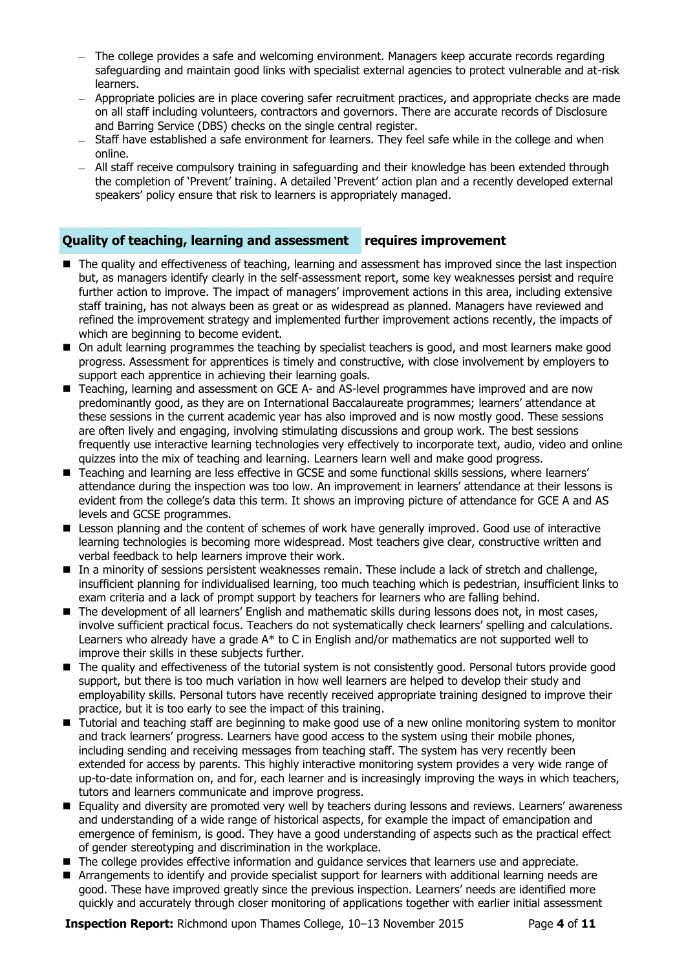- The college provides a safe and welcoming environment. Managers keep accurate records regarding safeguarding and maintain good links with specialist external agencies to protect vulnerable and at-risk learners.
- Appropriate policies are in place covering safer recruitment practices, and appropriate checks are made on all staff including volunteers, contractors and governors. There are accurate records of Disclosure and Barring Service (DBS) checks on the single central register.
- Staff have established a safe environment for learners. They feel safe while in the college and when online.
- All staff receive compulsory training in safeguarding and their knowledge has been extended through the completion of 'Prevent' training. A detailed 'Prevent' action plan and a recently developed external speakers' policy ensure that risk to learners is appropriately managed.

### **Quality of teaching, learning and assessment requires improvement**

- The quality and effectiveness of teaching, learning and assessment has improved since the last inspection but, as managers identify clearly in the self-assessment report, some key weaknesses persist and require further action to improve. The impact of managers' improvement actions in this area, including extensive staff training, has not always been as great or as widespread as planned. Managers have reviewed and refined the improvement strategy and implemented further improvement actions recently, the impacts of which are beginning to become evident.
- $\blacksquare$  On adult learning programmes the teaching by specialist teachers is good, and most learners make good progress. Assessment for apprentices is timely and constructive, with close involvement by employers to support each apprentice in achieving their learning goals.
- Teaching, learning and assessment on GCE A- and AS-level programmes have improved and are now predominantly good, as they are on International Baccalaureate programmes; learners' attendance at these sessions in the current academic year has also improved and is now mostly good. These sessions are often lively and engaging, involving stimulating discussions and group work. The best sessions frequently use interactive learning technologies very effectively to incorporate text, audio, video and online quizzes into the mix of teaching and learning. Learners learn well and make good progress.
- Teaching and learning are less effective in GCSE and some functional skills sessions, where learners' attendance during the inspection was too low. An improvement in learners' attendance at their lessons is evident from the college's data this term. It shows an improving picture of attendance for GCE A and AS levels and GCSE programmes.
- E Lesson planning and the content of schemes of work have generally improved. Good use of interactive learning technologies is becoming more widespread. Most teachers give clear, constructive written and verbal feedback to help learners improve their work.
- In a minority of sessions persistent weaknesses remain. These include a lack of stretch and challenge, insufficient planning for individualised learning, too much teaching which is pedestrian, insufficient links to exam criteria and a lack of prompt support by teachers for learners who are falling behind.
- The development of all learners' English and mathematic skills during lessons does not, in most cases, involve sufficient practical focus. Teachers do not systematically check learners' spelling and calculations. Learners who already have a grade A\* to C in English and/or mathematics are not supported well to improve their skills in these subjects further.
- The quality and effectiveness of the tutorial system is not consistently good. Personal tutors provide good support, but there is too much variation in how well learners are helped to develop their study and employability skills. Personal tutors have recently received appropriate training designed to improve their practice, but it is too early to see the impact of this training.
- Tutorial and teaching staff are beginning to make good use of a new online monitoring system to monitor and track learners' progress. Learners have good access to the system using their mobile phones, including sending and receiving messages from teaching staff. The system has very recently been extended for access by parents. This highly interactive monitoring system provides a very wide range of up-to-date information on, and for, each learner and is increasingly improving the ways in which teachers, tutors and learners communicate and improve progress.
- Equality and diversity are promoted very well by teachers during lessons and reviews. Learners' awareness and understanding of a wide range of historical aspects, for example the impact of emancipation and emergence of feminism, is good. They have a good understanding of aspects such as the practical effect of gender stereotyping and discrimination in the workplace.
- The college provides effective information and quidance services that learners use and appreciate.
- Arrangements to identify and provide specialist support for learners with additional learning needs are good. These have improved greatly since the previous inspection. Learners' needs are identified more quickly and accurately through closer monitoring of applications together with earlier initial assessment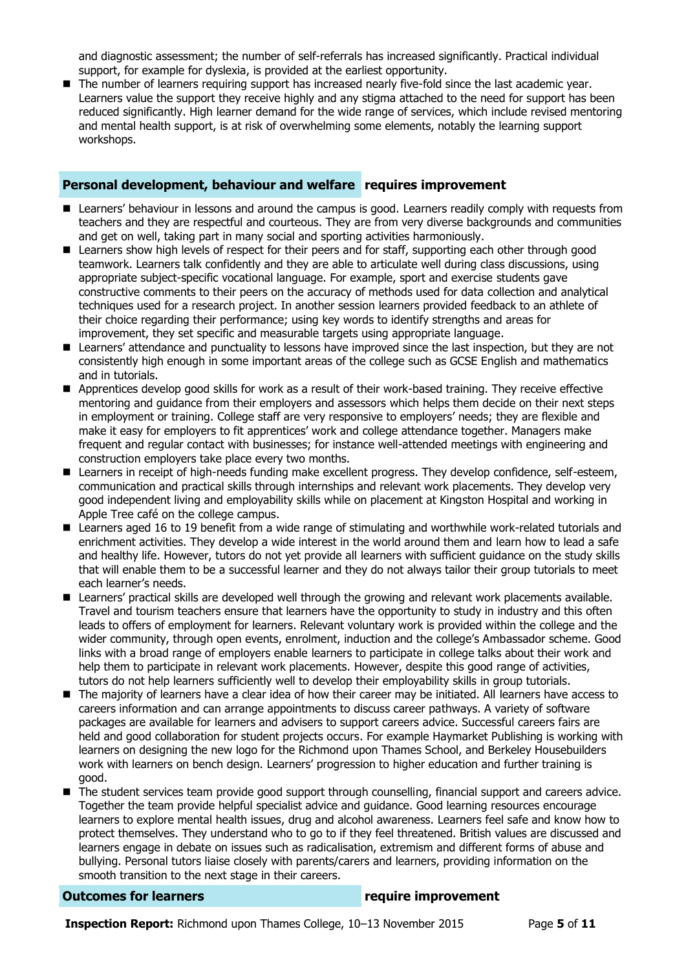and diagnostic assessment; the number of self-referrals has increased significantly. Practical individual support, for example for dyslexia, is provided at the earliest opportunity.

The number of learners requiring support has increased nearly five-fold since the last academic year. Learners value the support they receive highly and any stigma attached to the need for support has been reduced significantly. High learner demand for the wide range of services, which include revised mentoring and mental health support, is at risk of overwhelming some elements, notably the learning support workshops.

### **Personal development, behaviour and welfare requires improvement**

- Learners' behaviour in lessons and around the campus is good. Learners readily comply with requests from teachers and they are respectful and courteous. They are from very diverse backgrounds and communities and get on well, taking part in many social and sporting activities harmoniously.
- **EX** Learners show high levels of respect for their peers and for staff, supporting each other through good teamwork. Learners talk confidently and they are able to articulate well during class discussions, using appropriate subject-specific vocational language. For example, sport and exercise students gave constructive comments to their peers on the accuracy of methods used for data collection and analytical techniques used for a research project. In another session learners provided feedback to an athlete of their choice regarding their performance; using key words to identify strengths and areas for improvement, they set specific and measurable targets using appropriate language.
- Learners' attendance and punctuality to lessons have improved since the last inspection, but they are not consistently high enough in some important areas of the college such as GCSE English and mathematics and in tutorials.
- **Apprentices develop good skills for work as a result of their work-based training. They receive effective** mentoring and guidance from their employers and assessors which helps them decide on their next steps in employment or training. College staff are very responsive to employers' needs; they are flexible and make it easy for employers to fit apprentices' work and college attendance together. Managers make frequent and regular contact with businesses; for instance well-attended meetings with engineering and construction employers take place every two months.
- Learners in receipt of high-needs funding make excellent progress. They develop confidence, self-esteem, communication and practical skills through internships and relevant work placements. They develop very good independent living and employability skills while on placement at Kingston Hospital and working in Apple Tree café on the college campus.
- Learners aged 16 to 19 benefit from a wide range of stimulating and worthwhile work-related tutorials and enrichment activities. They develop a wide interest in the world around them and learn how to lead a safe and healthy life. However, tutors do not yet provide all learners with sufficient guidance on the study skills that will enable them to be a successful learner and they do not always tailor their group tutorials to meet each learner's needs.
- **Learners' practical skills are developed well through the growing and relevant work placements available.** Travel and tourism teachers ensure that learners have the opportunity to study in industry and this often leads to offers of employment for learners. Relevant voluntary work is provided within the college and the wider community, through open events, enrolment, induction and the college's Ambassador scheme. Good links with a broad range of employers enable learners to participate in college talks about their work and help them to participate in relevant work placements. However, despite this good range of activities, tutors do not help learners sufficiently well to develop their employability skills in group tutorials.
- The majority of learners have a clear idea of how their career may be initiated. All learners have access to careers information and can arrange appointments to discuss career pathways. A variety of software packages are available for learners and advisers to support careers advice. Successful careers fairs are held and good collaboration for student projects occurs. For example Haymarket Publishing is working with learners on designing the new logo for the Richmond upon Thames School, and Berkeley Housebuilders work with learners on bench design. Learners' progression to higher education and further training is good.
- The student services team provide good support through counselling, financial support and careers advice. Together the team provide helpful specialist advice and guidance. Good learning resources encourage learners to explore mental health issues, drug and alcohol awareness. Learners feel safe and know how to protect themselves. They understand who to go to if they feel threatened. British values are discussed and learners engage in debate on issues such as radicalisation, extremism and different forms of abuse and bullying. Personal tutors liaise closely with parents/carers and learners, providing information on the smooth transition to the next stage in their careers.

### **Outcomes for learners require improvement**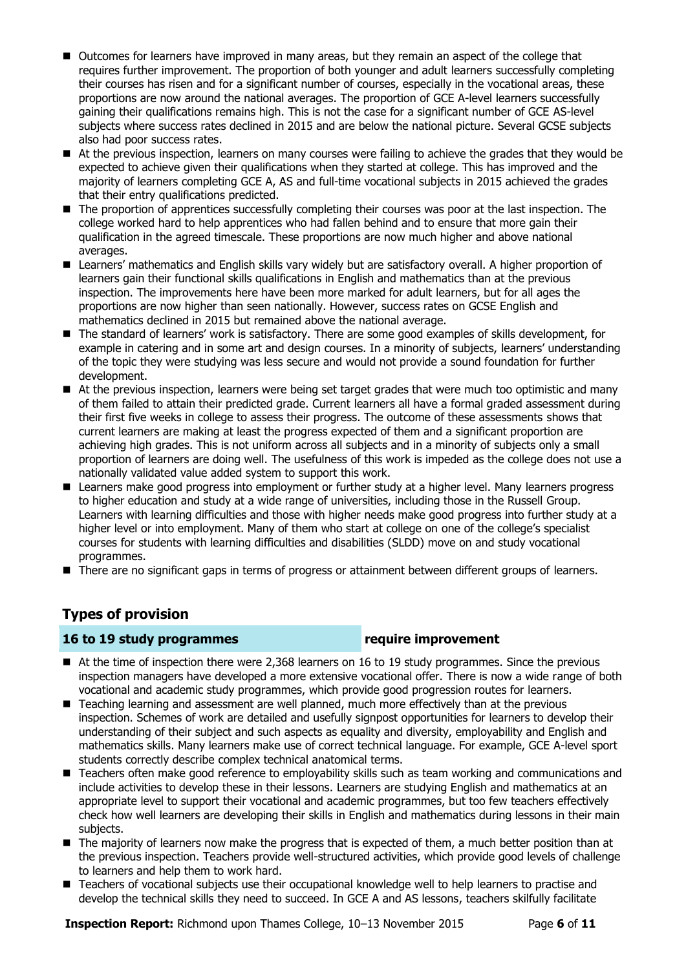- Outcomes for learners have improved in many areas, but they remain an aspect of the college that requires further improvement. The proportion of both younger and adult learners successfully completing their courses has risen and for a significant number of courses, especially in the vocational areas, these proportions are now around the national averages. The proportion of GCE A-level learners successfully gaining their qualifications remains high. This is not the case for a significant number of GCE AS-level subjects where success rates declined in 2015 and are below the national picture. Several GCSE subjects also had poor success rates.
- At the previous inspection, learners on many courses were failing to achieve the grades that they would be expected to achieve given their qualifications when they started at college. This has improved and the majority of learners completing GCE A, AS and full-time vocational subjects in 2015 achieved the grades that their entry qualifications predicted.
- The proportion of apprentices successfully completing their courses was poor at the last inspection. The college worked hard to help apprentices who had fallen behind and to ensure that more gain their qualification in the agreed timescale. These proportions are now much higher and above national averages.
- Learners' mathematics and English skills vary widely but are satisfactory overall. A higher proportion of learners gain their functional skills qualifications in English and mathematics than at the previous inspection. The improvements here have been more marked for adult learners, but for all ages the proportions are now higher than seen nationally. However, success rates on GCSE English and mathematics declined in 2015 but remained above the national average.
- The standard of learners' work is satisfactory. There are some good examples of skills development, for example in catering and in some art and design courses. In a minority of subjects, learners' understanding of the topic they were studying was less secure and would not provide a sound foundation for further development.
- At the previous inspection, learners were being set target grades that were much too optimistic and many of them failed to attain their predicted grade. Current learners all have a formal graded assessment during their first five weeks in college to assess their progress. The outcome of these assessments shows that current learners are making at least the progress expected of them and a significant proportion are achieving high grades. This is not uniform across all subjects and in a minority of subjects only a small proportion of learners are doing well. The usefulness of this work is impeded as the college does not use a nationally validated value added system to support this work.
- **E** Learners make good progress into employment or further study at a higher level. Many learners progress to higher education and study at a wide range of universities, including those in the Russell Group. Learners with learning difficulties and those with higher needs make good progress into further study at a higher level or into employment. Many of them who start at college on one of the college's specialist courses for students with learning difficulties and disabilities (SLDD) move on and study vocational programmes.
- There are no significant gaps in terms of progress or attainment between different groups of learners.

### **Types of provision**

### **16 to 19 study programmes require improvement**

- At the time of inspection there were 2,368 learners on 16 to 19 study programmes. Since the previous inspection managers have developed a more extensive vocational offer. There is now a wide range of both vocational and academic study programmes, which provide good progression routes for learners.
- Teaching learning and assessment are well planned, much more effectively than at the previous inspection. Schemes of work are detailed and usefully signpost opportunities for learners to develop their understanding of their subject and such aspects as equality and diversity, employability and English and mathematics skills. Many learners make use of correct technical language. For example, GCE A-level sport students correctly describe complex technical anatomical terms.
- Teachers often make good reference to employability skills such as team working and communications and include activities to develop these in their lessons. Learners are studying English and mathematics at an appropriate level to support their vocational and academic programmes, but too few teachers effectively check how well learners are developing their skills in English and mathematics during lessons in their main subjects.
- $\blacksquare$  The majority of learners now make the progress that is expected of them, a much better position than at the previous inspection. Teachers provide well-structured activities, which provide good levels of challenge to learners and help them to work hard.
- Teachers of vocational subjects use their occupational knowledge well to help learners to practise and develop the technical skills they need to succeed. In GCE A and AS lessons, teachers skilfully facilitate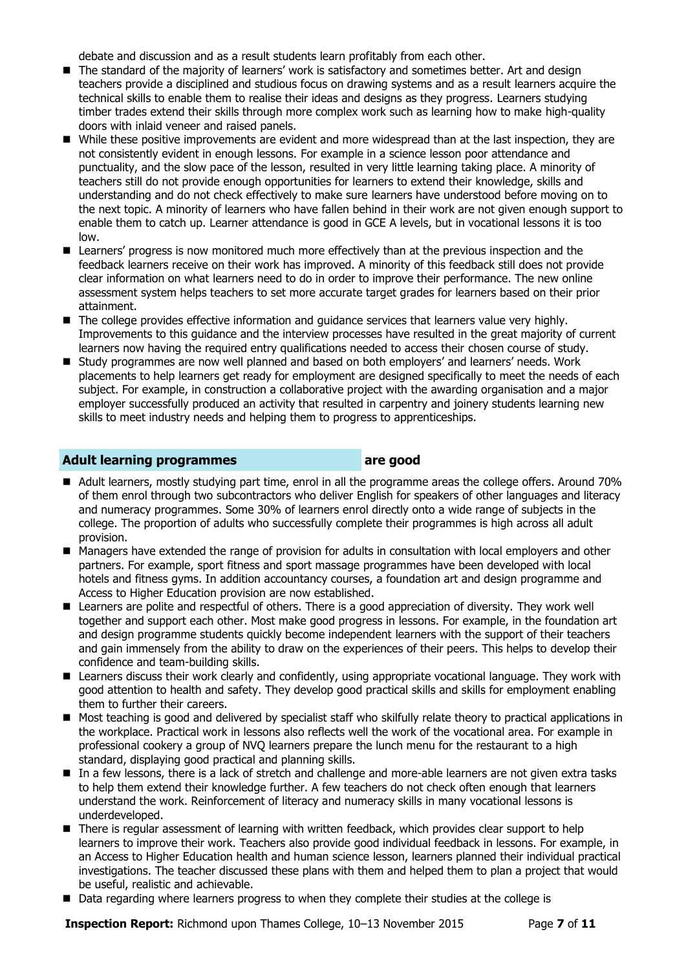debate and discussion and as a result students learn profitably from each other.

- The standard of the majority of learners' work is satisfactory and sometimes better. Art and design teachers provide a disciplined and studious focus on drawing systems and as a result learners acquire the technical skills to enable them to realise their ideas and designs as they progress. Learners studying timber trades extend their skills through more complex work such as learning how to make high-quality doors with inlaid veneer and raised panels.
- While these positive improvements are evident and more widespread than at the last inspection, they are not consistently evident in enough lessons. For example in a science lesson poor attendance and punctuality, and the slow pace of the lesson, resulted in very little learning taking place. A minority of teachers still do not provide enough opportunities for learners to extend their knowledge, skills and understanding and do not check effectively to make sure learners have understood before moving on to the next topic. A minority of learners who have fallen behind in their work are not given enough support to enable them to catch up. Learner attendance is good in GCE A levels, but in vocational lessons it is too low.
- **E** Learners' progress is now monitored much more effectively than at the previous inspection and the feedback learners receive on their work has improved. A minority of this feedback still does not provide clear information on what learners need to do in order to improve their performance. The new online assessment system helps teachers to set more accurate target grades for learners based on their prior attainment.
- The college provides effective information and guidance services that learners value very highly. Improvements to this guidance and the interview processes have resulted in the great majority of current learners now having the required entry qualifications needed to access their chosen course of study.
- Study programmes are now well planned and based on both employers' and learners' needs. Work placements to help learners get ready for employment are designed specifically to meet the needs of each subject. For example, in construction a collaborative project with the awarding organisation and a major employer successfully produced an activity that resulted in carpentry and joinery students learning new skills to meet industry needs and helping them to progress to apprenticeships.

### **Adult learning programmes are good**

- Adult learners, mostly studying part time, enrol in all the programme areas the college offers. Around 70% of them enrol through two subcontractors who deliver English for speakers of other languages and literacy and numeracy programmes. Some 30% of learners enrol directly onto a wide range of subjects in the college. The proportion of adults who successfully complete their programmes is high across all adult provision.
- **Managers have extended the range of provision for adults in consultation with local employers and other** partners. For example, sport fitness and sport massage programmes have been developed with local hotels and fitness gyms. In addition accountancy courses, a foundation art and design programme and Access to Higher Education provision are now established.
- **E** Learners are polite and respectful of others. There is a good appreciation of diversity. They work well together and support each other. Most make good progress in lessons. For example, in the foundation art and design programme students quickly become independent learners with the support of their teachers and gain immensely from the ability to draw on the experiences of their peers. This helps to develop their confidence and team-building skills.
- Learners discuss their work clearly and confidently, using appropriate vocational language. They work with good attention to health and safety. They develop good practical skills and skills for employment enabling them to further their careers.
- Most teaching is good and delivered by specialist staff who skilfully relate theory to practical applications in the workplace. Practical work in lessons also reflects well the work of the vocational area. For example in professional cookery a group of NVQ learners prepare the lunch menu for the restaurant to a high standard, displaying good practical and planning skills.
- In a few lessons, there is a lack of stretch and challenge and more-able learners are not given extra tasks to help them extend their knowledge further. A few teachers do not check often enough that learners understand the work. Reinforcement of literacy and numeracy skills in many vocational lessons is underdeveloped.
- There is regular assessment of learning with written feedback, which provides clear support to help learners to improve their work. Teachers also provide good individual feedback in lessons. For example, in an Access to Higher Education health and human science lesson, learners planned their individual practical investigations. The teacher discussed these plans with them and helped them to plan a project that would be useful, realistic and achievable.
- Data regarding where learners progress to when they complete their studies at the college is

**Inspection Report:** Richmond upon Thames College, 10–13 November 2015 Page 7 of 11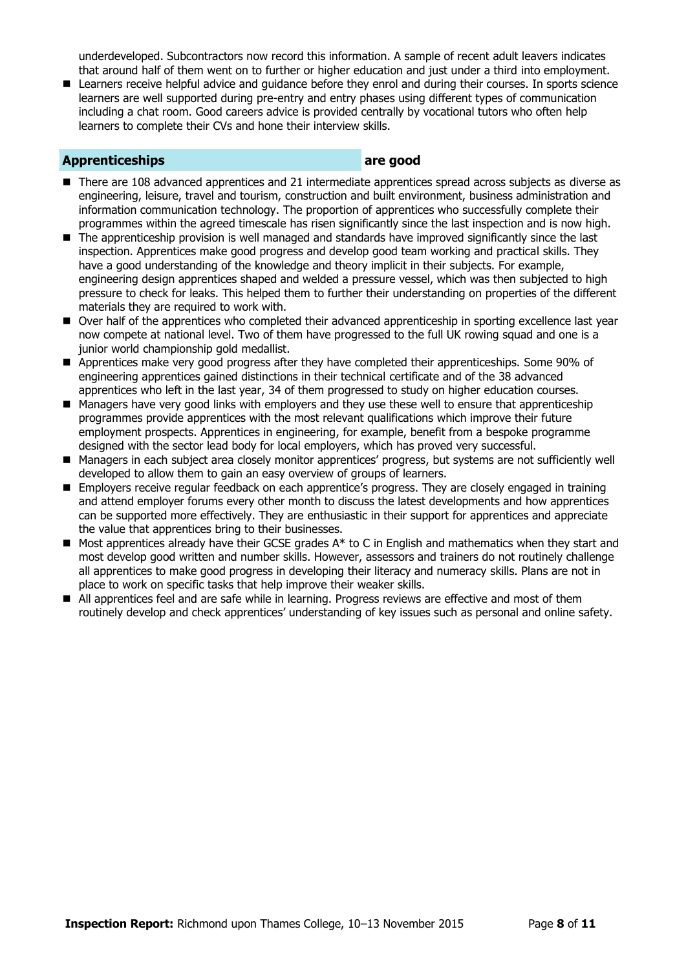underdeveloped. Subcontractors now record this information. A sample of recent adult leavers indicates that around half of them went on to further or higher education and just under a third into employment.

Learners receive helpful advice and quidance before they enrol and during their courses. In sports science learners are well supported during pre-entry and entry phases using different types of communication including a chat room. Good careers advice is provided centrally by vocational tutors who often help learners to complete their CVs and hone their interview skills.

### **Apprenticeships are good**

- There are 108 advanced apprentices and 21 intermediate apprentices spread across subjects as diverse as engineering, leisure, travel and tourism, construction and built environment, business administration and information communication technology. The proportion of apprentices who successfully complete their programmes within the agreed timescale has risen significantly since the last inspection and is now high.
- The apprenticeship provision is well managed and standards have improved significantly since the last inspection. Apprentices make good progress and develop good team working and practical skills. They have a good understanding of the knowledge and theory implicit in their subjects. For example, engineering design apprentices shaped and welded a pressure vessel, which was then subjected to high pressure to check for leaks. This helped them to further their understanding on properties of the different materials they are required to work with.
- Over half of the apprentices who completed their advanced apprenticeship in sporting excellence last year now compete at national level. Two of them have progressed to the full UK rowing squad and one is a junior world championship gold medallist.
- **Apprentices make very good progress after they have completed their apprenticeships. Some 90% of** engineering apprentices gained distinctions in their technical certificate and of the 38 advanced apprentices who left in the last year, 34 of them progressed to study on higher education courses.
- Managers have very good links with employers and they use these well to ensure that apprenticeship programmes provide apprentices with the most relevant qualifications which improve their future employment prospects. Apprentices in engineering, for example, benefit from a bespoke programme designed with the sector lead body for local employers, which has proved very successful.
- Managers in each subject area closely monitor apprentices' progress, but systems are not sufficiently well developed to allow them to gain an easy overview of groups of learners.
- Employers receive regular feedback on each apprentice's progress. They are closely engaged in training and attend employer forums every other month to discuss the latest developments and how apprentices can be supported more effectively. They are enthusiastic in their support for apprentices and appreciate the value that apprentices bring to their businesses.
- $\blacksquare$  Most apprentices already have their GCSE grades  $A^*$  to C in English and mathematics when they start and most develop good written and number skills. However, assessors and trainers do not routinely challenge all apprentices to make good progress in developing their literacy and numeracy skills. Plans are not in place to work on specific tasks that help improve their weaker skills.
- All apprentices feel and are safe while in learning. Progress reviews are effective and most of them routinely develop and check apprentices' understanding of key issues such as personal and online safety.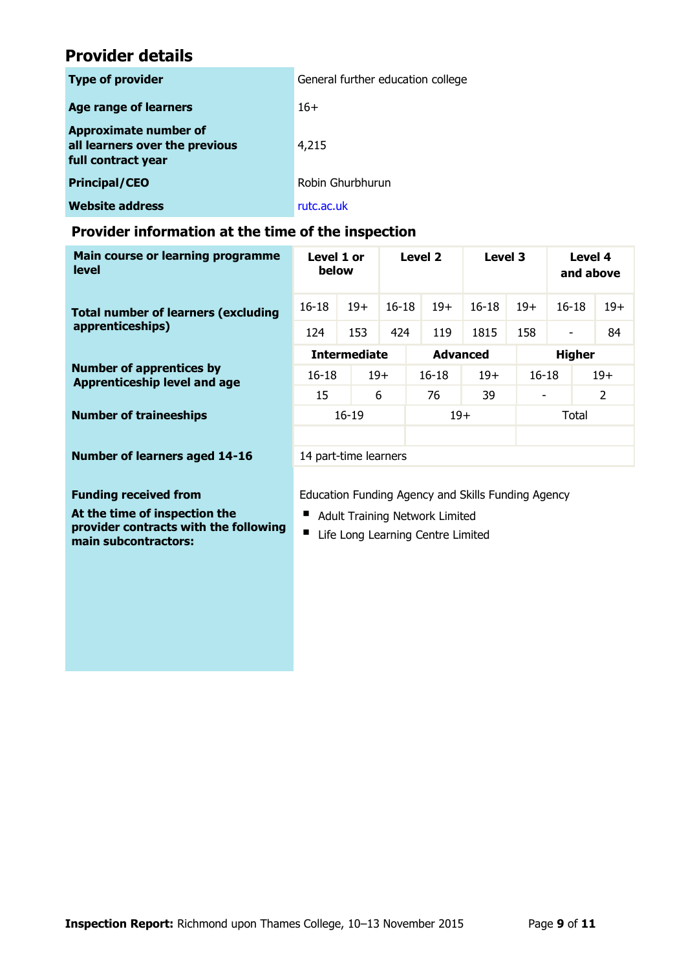## **Provider details**

| <b>Type of provider</b>                                                              | General further education college |
|--------------------------------------------------------------------------------------|-----------------------------------|
| <b>Age range of learners</b>                                                         | $16+$                             |
| <b>Approximate number of</b><br>all learners over the previous<br>full contract year | 4,215                             |
| <b>Principal/CEO</b>                                                                 | Robin Ghurbhurun                  |
| <b>Website address</b>                                                               | rutc.ac.uk                        |

### **Provider information at the time of the inspection**

| Main course or learning programme<br>level                             | Level 1 or<br>below                                |       | Level 2   |                    | Level 3   |       | Level 4<br>and above     |       |  |
|------------------------------------------------------------------------|----------------------------------------------------|-------|-----------|--------------------|-----------|-------|--------------------------|-------|--|
| <b>Total number of learners (excluding</b><br>apprenticeships)         | $16 - 18$                                          | $19+$ | $16 - 18$ | $19+$              | $16 - 18$ | $19+$ | $16 - 18$                | $19+$ |  |
|                                                                        | 124                                                | 153   | 424       | 119                | 1815      | 158   | $\overline{\phantom{a}}$ | 84    |  |
| <b>Number of apprentices by</b><br><b>Apprenticeship level and age</b> | <b>Intermediate</b>                                |       |           | <b>Advanced</b>    |           |       | <b>Higher</b>            |       |  |
|                                                                        | $16 - 18$                                          | $19+$ |           | $19+$<br>$16 - 18$ |           |       | $19+$<br>$16 - 18$       |       |  |
|                                                                        | 15                                                 | 6     |           | 76                 | 39        |       | $\overline{2}$           |       |  |
| <b>Number of traineeships</b>                                          | $16 - 19$                                          |       | $19+$     |                    | Total     |       |                          |       |  |
|                                                                        |                                                    |       |           |                    |           |       |                          |       |  |
| <b>Number of learners aged 14-16</b>                                   | 14 part-time learners                              |       |           |                    |           |       |                          |       |  |
|                                                                        |                                                    |       |           |                    |           |       |                          |       |  |
| <b>Funding received from</b>                                           | Education Funding Agency and Skills Funding Agency |       |           |                    |           |       |                          |       |  |

**At the time of inspection the provider contracts with the following main subcontractors:**

- Adult Training Network Limited
- Life Long Learning Centre Limited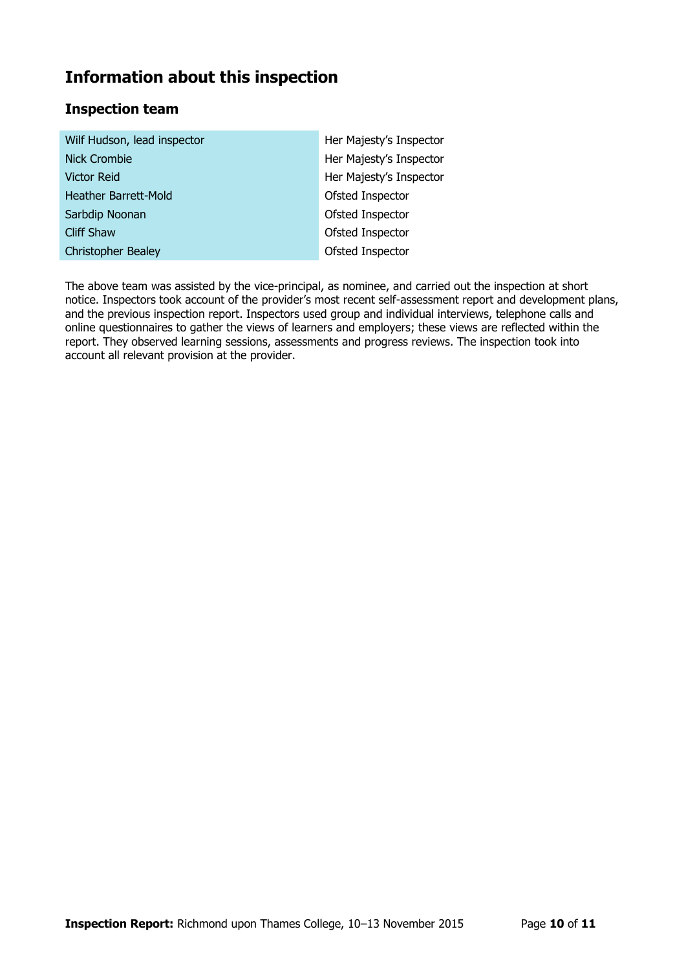# **Information about this inspection**

### **Inspection team**

| Wilf Hudson, lead inspector | Her Majesty's Inspector |
|-----------------------------|-------------------------|
| <b>Nick Crombie</b>         | Her Majesty's Inspector |
| <b>Victor Reid</b>          | Her Majesty's Inspector |
| Heather Barrett-Mold        | Ofsted Inspector        |
| Sarbdip Noonan              | Ofsted Inspector        |
| <b>Cliff Shaw</b>           | Ofsted Inspector        |
| <b>Christopher Bealey</b>   | Ofsted Inspector        |

The above team was assisted by the vice-principal, as nominee, and carried out the inspection at short notice. Inspectors took account of the provider's most recent self-assessment report and development plans, and the previous inspection report. Inspectors used group and individual interviews, telephone calls and online questionnaires to gather the views of learners and employers; these views are reflected within the report. They observed learning sessions, assessments and progress reviews. The inspection took into account all relevant provision at the provider.